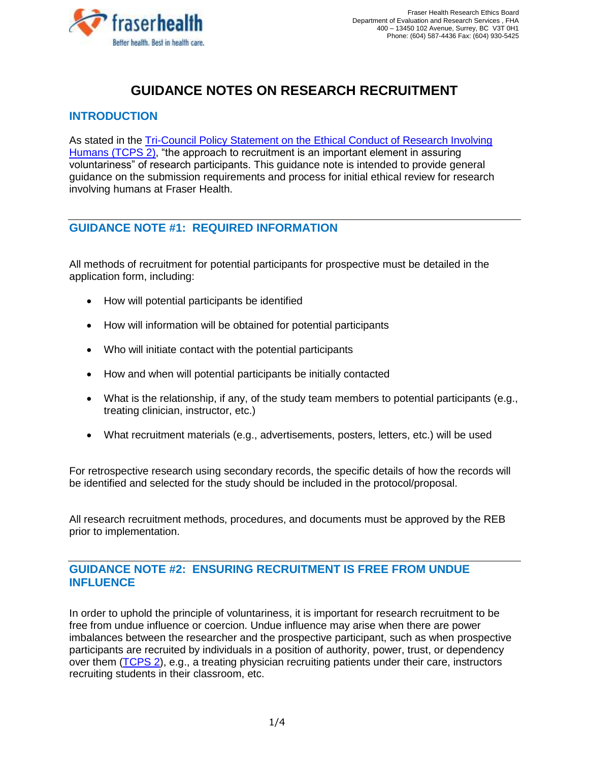

# **GUIDANCE NOTES ON RESEARCH RECRUITMENT**

# **INTRODUCTION**

As stated in the [Tri-Council Policy Statement on the Ethical Conduct of Research Involving](http://www.pre.ethics.gc.ca/eng/documents/tcps2-2018-en-interactive-final.pdf)  Humans [\(TCPS 2\),](http://www.pre.ethics.gc.ca/eng/documents/tcps2-2018-en-interactive-final.pdf) "the approach to recruitment is an important element in assuring voluntariness" of research participants. This guidance note is intended to provide general guidance on the submission requirements and process for initial ethical review for research involving humans at Fraser Health.

## **GUIDANCE NOTE #1: REQUIRED INFORMATION**

All methods of recruitment for potential participants for prospective must be detailed in the application form, including:

- How will potential participants be identified
- How will information will be obtained for potential participants
- Who will initiate contact with the potential participants
- How and when will potential participants be initially contacted
- What is the relationship, if any, of the study team members to potential participants (e.g., treating clinician, instructor, etc.)
- What recruitment materials (e.g., advertisements, posters, letters, etc.) will be used

For retrospective research using secondary records, the specific details of how the records will be identified and selected for the study should be included in the protocol/proposal.

All research recruitment methods, procedures, and documents must be approved by the REB prior to implementation.

## **GUIDANCE NOTE #2: ENSURING RECRUITMENT IS FREE FROM UNDUE INFLUENCE**

In order to uphold the principle of voluntariness, it is important for research recruitment to be free from undue influence or coercion. Undue influence may arise when there are power imbalances between the researcher and the prospective participant, such as when prospective participants are recruited by individuals in a position of authority, power, trust, or dependency over them [\(TCPS 2\)](http://www.pre.ethics.gc.ca/eng/documents/tcps2-2018-en-interactive-final.pdf), e.g., a treating physician recruiting patients under their care, instructors recruiting students in their classroom, etc.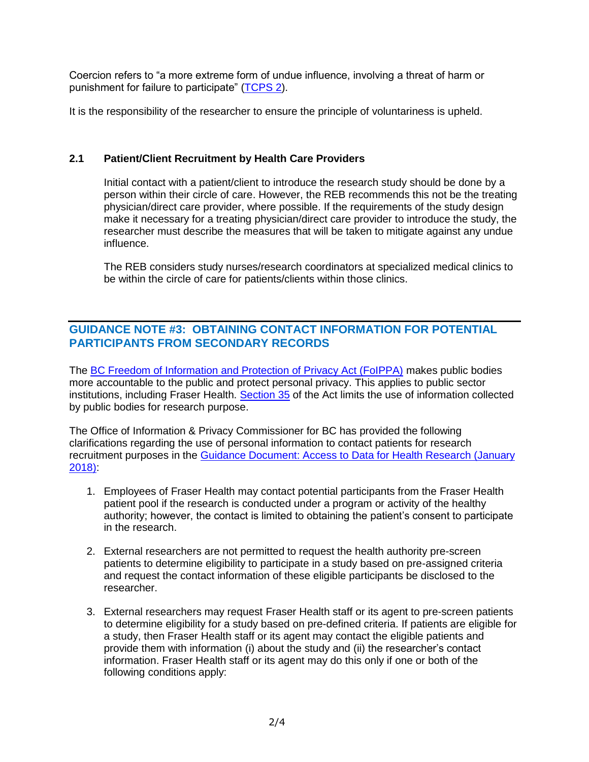Coercion refers to "a more extreme form of undue influence, involving a threat of harm or punishment for failure to participate" [\(TCPS 2\)](http://www.pre.ethics.gc.ca/eng/documents/tcps2-2018-en-interactive-final.pdf).

It is the responsibility of the researcher to ensure the principle of voluntariness is upheld.

#### **2.1 Patient/Client Recruitment by Health Care Providers**

Initial contact with a patient/client to introduce the research study should be done by a person within their circle of care. However, the REB recommends this not be the treating physician/direct care provider, where possible. If the requirements of the study design make it necessary for a treating physician/direct care provider to introduce the study, the researcher must describe the measures that will be taken to mitigate against any undue influence.

The REB considers study nurses/research coordinators at specialized medical clinics to be within the circle of care for patients/clients within those clinics.

## **GUIDANCE NOTE #3: OBTAINING CONTACT INFORMATION FOR POTENTIAL PARTICIPANTS FROM SECONDARY RECORDS**

The [BC Freedom of Information and Protection of Privacy Act \(FoIPPA\)](http://www.bclaws.ca/civix/document/id/complete/statreg/96165_01#section2) makes public bodies more accountable to the public and protect personal privacy. This applies to public sector institutions, including Fraser Health. [Section 35](http://www.bclaws.ca/civix/document/id/complete/statreg/96165_03) of the Act limits the use of information collected by public bodies for research purpose.

The Office of Information & Privacy Commissioner for BC has provided the following clarifications regarding the use of personal information to contact patients for research recruitment purposes in the [Guidance Document: Access to Data for Health Research \(January](https://www.oipc.bc.ca/guidance-documents/2115)  [2018\):](https://www.oipc.bc.ca/guidance-documents/2115)

- 1. Employees of Fraser Health may contact potential participants from the Fraser Health patient pool if the research is conducted under a program or activity of the healthy authority; however, the contact is limited to obtaining the patient's consent to participate in the research.
- 2. External researchers are not permitted to request the health authority pre-screen patients to determine eligibility to participate in a study based on pre-assigned criteria and request the contact information of these eligible participants be disclosed to the researcher.
- 3. External researchers may request Fraser Health staff or its agent to pre-screen patients to determine eligibility for a study based on pre-defined criteria. If patients are eligible for a study, then Fraser Health staff or its agent may contact the eligible patients and provide them with information (i) about the study and (ii) the researcher's contact information. Fraser Health staff or its agent may do this only if one or both of the following conditions apply: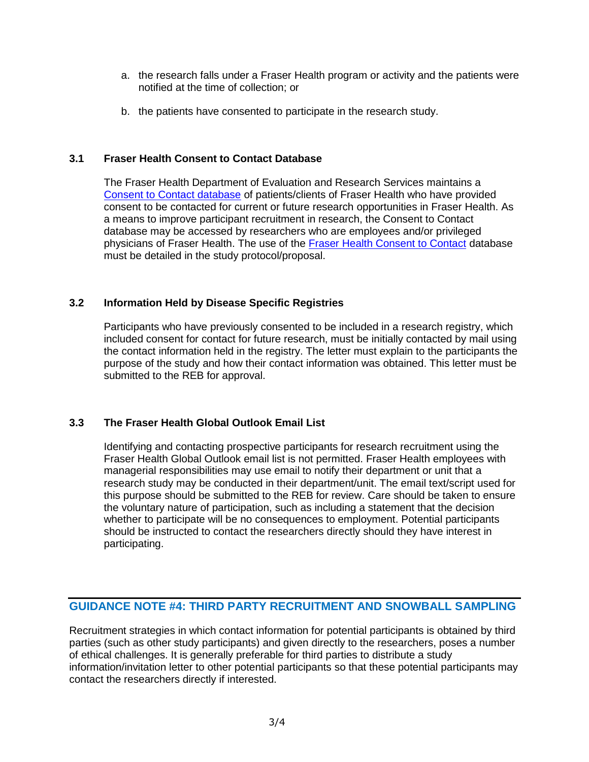- a. the research falls under a Fraser Health program or activity and the patients were notified at the time of collection; or
- b. the patients have consented to participate in the research study.

#### **3.1 Fraser Health Consent to Contact Database**

The Fraser Health Department of Evaluation and Research Services maintains a [Consent to Contact database](https://www.fraserhealth.ca/employees/research-and-evaluation/how-we-can-help-your-research/consent-to-contact#.XVQ7GJNKiUk) of patients/clients of Fraser Health who have provided consent to be contacted for current or future research opportunities in Fraser Health. As a means to improve participant recruitment in research, the Consent to Contact database may be accessed by researchers who are employees and/or privileged physicians of Fraser Health. The use of the [Fraser Health Consent to Contact](https://www.fraserhealth.ca/employees/research-and-evaluation/how-we-can-help-your-research/consent-to-contact#.XVQ7GJNKiUk) database must be detailed in the study protocol/proposal.

#### **3.2 Information Held by Disease Specific Registries**

Participants who have previously consented to be included in a research registry, which included consent for contact for future research, must be initially contacted by mail using the contact information held in the registry. The letter must explain to the participants the purpose of the study and how their contact information was obtained. This letter must be submitted to the REB for approval.

#### **3.3 The Fraser Health Global Outlook Email List**

Identifying and contacting prospective participants for research recruitment using the Fraser Health Global Outlook email list is not permitted. Fraser Health employees with managerial responsibilities may use email to notify their department or unit that a research study may be conducted in their department/unit. The email text/script used for this purpose should be submitted to the REB for review. Care should be taken to ensure the voluntary nature of participation, such as including a statement that the decision whether to participate will be no consequences to employment. Potential participants should be instructed to contact the researchers directly should they have interest in participating.

## **GUIDANCE NOTE #4: THIRD PARTY RECRUITMENT AND SNOWBALL SAMPLING**

Recruitment strategies in which contact information for potential participants is obtained by third parties (such as other study participants) and given directly to the researchers, poses a number of ethical challenges. It is generally preferable for third parties to distribute a study information/invitation letter to other potential participants so that these potential participants may contact the researchers directly if interested.